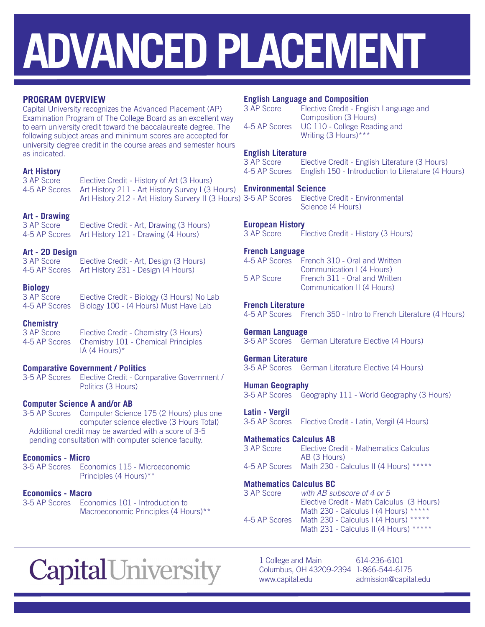# **ADVANCED PLACEMENT**

#### **PROGRAM OVERVIEW**

Capital University recognizes the Advanced Placement (AP) Examination Program of The College Board as an excellent way to earn university credit toward the baccalaureate degree. The following subject areas and minimum scores are accepted for university degree credit in the course areas and semester hours as indicated.

# **Art History**

3 AP Score Elective Credit - History of Art (3 Hours) 4-5 AP Scores Art History 211 - Art History Survey I (3 Hours) Art History 212 - Art History Survery II (3 Hours) 3-5 AP Scores Elective Credit - Environmental

# **Art - Drawing**

Elective Credit - Art, Drawing (3 Hours) 4-5 AP Scores Art History 121 - Drawing (4 Hours)

#### **Art - 2D Design**

3 AP Score Elective Credit - Art, Design (3 Hours) 4-5 AP Scores Art History 231 - Design (4 Hours)

# **Biology**<br>3 AP Score

3 AP Score Elective Credit - Biology (3 Hours) No Lab Biology 100 - (4 Hours) Must Have Lab

#### **Chemistry**

3 AP Score Elective Credit - Chemistry (3 Hours) Chemistry 101 - Chemical Principles IA (4 Hours)\*

#### **Comparative Government / Politics**

3-5 AP Scores Elective Credit - Comparative Government / Politics (3 Hours)

#### **Computer Science A and/or AB**

3-5 AP Scores Computer Science 175 (2 Hours) plus one computer science elective (3 Hours Total) Additional credit may be awarded with a score of 3-5 pending consultation with computer science faculty.

#### **Economics - Micro**

3-5 AP Scores Economics 115 - Microeconomic Principles (4 Hours)\*\*

#### **Economics - Macro**

3-5 AP Scores Economics 101 - Introduction to Macroeconomic Principles (4 Hours)\*\*

#### **English Language and Composition**

| 3 AP Score | Elective Credit - English Language and     |
|------------|--------------------------------------------|
|            | Composition (3 Hours)                      |
|            | 4-5 AP Scores UC 110 - College Reading and |
|            | Writing (3 Hours)***                       |

# **English Literature**

Elective Credit - English Literature (3 Hours) 4-5 AP Scores English 150 - Introduction to Literature (4 Hours)

#### **Environmental Science**

Science (4 Hours)

# **European History**

Elective Credit - History (3 Hours)

#### **French Language**

|            | 4-5 AP Scores French 310 - Oral and Written |
|------------|---------------------------------------------|
|            | Communication I (4 Hours)                   |
| 5 AP Score | French 311 - Oral and Written               |
|            | Communication II (4 Hours)                  |
|            |                                             |

#### **French Literature**

4-5 AP Scores French 350 - Intro to French Literature (4 Hours)

#### **German Language**

3-5 AP Scores German Literature Elective (4 Hours)

#### **German Literature**

3-5 AP Scores German Literature Elective (4 Hours)

#### **Human Geography**

3-5 AP Scores Geography 111 - World Geography (3 Hours)

#### **Latin - Vergil**

3-5 AP Scores Elective Credit - Latin, Vergil (4 Hours)

# **Mathematics Calculus AB**<br>3 AP Score Elective Cr

Elective Credit - Mathematics Calculus AB (3 Hours)

#### 4-5 AP Scores Math 230 - Calculus II (4 Hours) \*\*\*\*\*

#### **Mathematics Calculus BC**

| 3 AP Score    | with AB subscore of 4 or 5                |
|---------------|-------------------------------------------|
|               | Elective Credit - Math Calculus (3 Hours) |
|               | Math 230 - Calculus I (4 Hours) *****     |
| 4-5 AP Scores | Math 230 - Calculus I (4 Hours) *****     |
|               | Math 231 - Calculus II (4 Hours) *****    |

# CapitalUniversity

1 College and Main Columbus, OH 43209-2394 1-866-544-6175 www.capital.edu 614-236-6101 admission@capital.edu